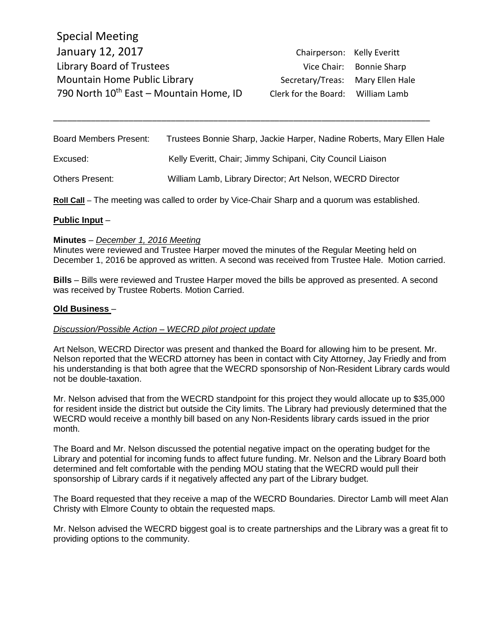Special Meeting January 12, 2017 **Chairperson: Kelly Everitt** Library Board of Trustees Vice Chair: Bonnie Sharp Mountain Home Public Library Secretary/Treas: Mary Ellen Hale 790 North  $10^{th}$  East – Mountain Home, ID Clerk for the Board: William Lamb

| <b>Board Members Present:</b> | Trustees Bonnie Sharp, Jackie Harper, Nadine Roberts, Mary Ellen Hale |
|-------------------------------|-----------------------------------------------------------------------|
| Excused:                      | Kelly Everitt, Chair; Jimmy Schipani, City Council Liaison            |
| <b>Others Present:</b>        | William Lamb, Library Director; Art Nelson, WECRD Director            |

\_\_\_\_\_\_\_\_\_\_\_\_\_\_\_\_\_\_\_\_\_\_\_\_\_\_\_\_\_\_\_\_\_\_\_\_\_\_\_\_\_\_\_\_\_\_\_\_\_\_\_\_\_\_\_\_\_\_\_\_\_\_\_\_\_\_\_\_\_\_\_\_\_\_\_\_\_\_\_\_

**Roll Call** – The meeting was called to order by Vice-Chair Sharp and a quorum was established.

### **Public Input** –

### **Minutes** – *December 1, 2016 Meeting*

Minutes were reviewed and Trustee Harper moved the minutes of the Regular Meeting held on December 1, 2016 be approved as written. A second was received from Trustee Hale. Motion carried.

**Bills** – Bills were reviewed and Trustee Harper moved the bills be approved as presented. A second was received by Trustee Roberts. Motion Carried.

### **Old Business** –

### *Discussion/Possible Action – WECRD pilot project update*

Art Nelson, WECRD Director was present and thanked the Board for allowing him to be present. Mr. Nelson reported that the WECRD attorney has been in contact with City Attorney, Jay Friedly and from his understanding is that both agree that the WECRD sponsorship of Non-Resident Library cards would not be double-taxation.

Mr. Nelson advised that from the WECRD standpoint for this project they would allocate up to \$35,000 for resident inside the district but outside the City limits. The Library had previously determined that the WECRD would receive a monthly bill based on any Non-Residents library cards issued in the prior month.

The Board and Mr. Nelson discussed the potential negative impact on the operating budget for the Library and potential for incoming funds to affect future funding. Mr. Nelson and the Library Board both determined and felt comfortable with the pending MOU stating that the WECRD would pull their sponsorship of Library cards if it negatively affected any part of the Library budget.

The Board requested that they receive a map of the WECRD Boundaries. Director Lamb will meet Alan Christy with Elmore County to obtain the requested maps.

Mr. Nelson advised the WECRD biggest goal is to create partnerships and the Library was a great fit to providing options to the community.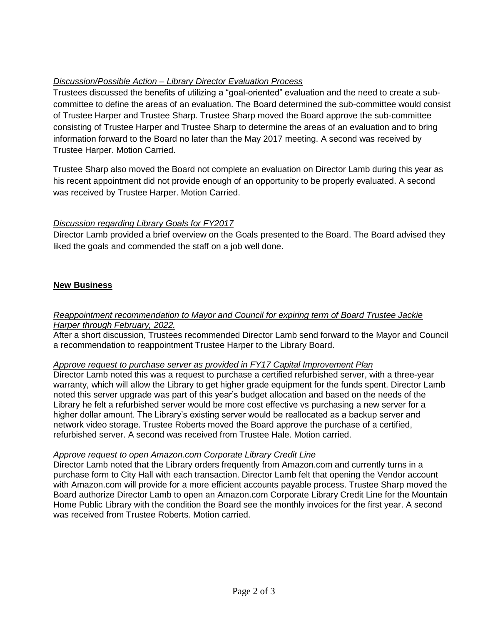# *Discussion/Possible Action – Library Director Evaluation Process*

Trustees discussed the benefits of utilizing a "goal-oriented" evaluation and the need to create a subcommittee to define the areas of an evaluation. The Board determined the sub-committee would consist of Trustee Harper and Trustee Sharp. Trustee Sharp moved the Board approve the sub-committee consisting of Trustee Harper and Trustee Sharp to determine the areas of an evaluation and to bring information forward to the Board no later than the May 2017 meeting. A second was received by Trustee Harper. Motion Carried.

Trustee Sharp also moved the Board not complete an evaluation on Director Lamb during this year as his recent appointment did not provide enough of an opportunity to be properly evaluated. A second was received by Trustee Harper. Motion Carried.

# *Discussion regarding Library Goals for FY2017*

Director Lamb provided a brief overview on the Goals presented to the Board. The Board advised they liked the goals and commended the staff on a job well done.

# **New Business**

## *Reappointment recommendation to Mayor and Council for expiring term of Board Trustee Jackie Harper through February, 2022.*

After a short discussion, Trustees recommended Director Lamb send forward to the Mayor and Council a recommendation to reappointment Trustee Harper to the Library Board.

# *Approve request to purchase server as provided in FY17 Capital Improvement Plan*

Director Lamb noted this was a request to purchase a certified refurbished server, with a three-year warranty, which will allow the Library to get higher grade equipment for the funds spent. Director Lamb noted this server upgrade was part of this year's budget allocation and based on the needs of the Library he felt a refurbished server would be more cost effective vs purchasing a new server for a higher dollar amount. The Library's existing server would be reallocated as a backup server and network video storage. Trustee Roberts moved the Board approve the purchase of a certified, refurbished server. A second was received from Trustee Hale. Motion carried.

## *Approve request to open Amazon.com Corporate Library Credit Line*

Director Lamb noted that the Library orders frequently from Amazon.com and currently turns in a purchase form to City Hall with each transaction. Director Lamb felt that opening the Vendor account with Amazon.com will provide for a more efficient accounts payable process. Trustee Sharp moved the Board authorize Director Lamb to open an Amazon.com Corporate Library Credit Line for the Mountain Home Public Library with the condition the Board see the monthly invoices for the first year. A second was received from Trustee Roberts. Motion carried.